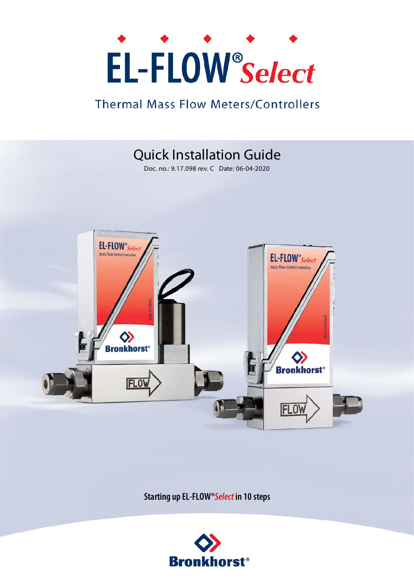# EL-FLOW<sup>®</sup>Select

### **Thermal Mass Flow Meters/Controllers**

## Quick Installation Guide

Doc. no.: 9.17.098 rev. C Date: 06-04-2020



**Starting up EL-FLOW®***Select* **in 10 steps**

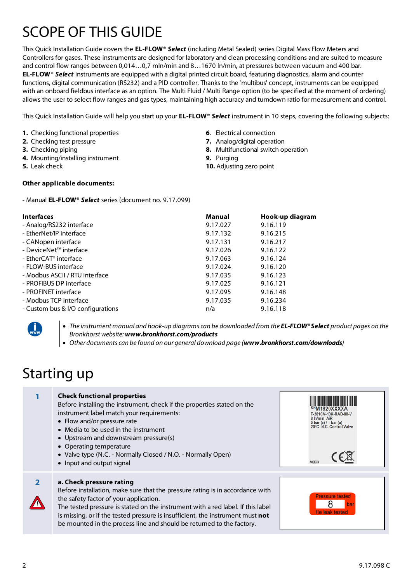## SCOPE OF THIS GUIDE

This Quick Installation Guide covers the **EL-FLOW®** *Select* (including Metal Sealed) series Digital Mass Flow Meters and Controllers for gases. These instruments are designed for laboratory and clean processing conditions and are suited to measure and control flow ranges between 0,014…0,7 mln/min and 8…1670 ln/min, at pressures between vacuum and 400 bar. **EL-FLOW®** *Select* instruments are equipped with a digital printed circuit board, featuring diagnostics, alarm and counter functions, digital communication (RS232) and a PID controller. Thanks to the 'multibus' concept, instruments can be equipped with an onboard fieldbus interface as an option. The Multi Fluid / Multi Range option (to be specified at the moment of ordering) allows the user to select flow ranges and gas types, maintaining high accuracy and turndown ratio for measurement and control.

This Quick Installation Guide will help you start up your **EL-FLOW®** *Select* instrument in 10 steps, covering the following subjects:

- **1.** Checking functional properties
- **2.** Checking test pressure
- **3.** Checking piping
- **4.** Mounting/installing instrument
- **5.** Leak check

#### **6**. Electrical connection

- **7.** Analog/digital operation
- **8.** Multifunctional switch operation
- **9.** Purging
- **10.** Adjusting zero point

#### **Other applicable documents:**

- Manual **EL-FLOW®** *Select* series (document no. 9.17.099)

| <b>Interfaces</b>                 | Manual   | Hook-up diagram |
|-----------------------------------|----------|-----------------|
| - Analog/RS232 interface          | 9.17.027 | 9.16.119        |
| - EtherNet/IP interface           | 9.17.132 | 9.16.215        |
| - CANopen interface               | 9.17.131 | 9.16.217        |
| - DeviceNet™ interface            | 9.17.026 | 9.16.122        |
| - EtherCAT <sup>®</sup> interface | 9.17.063 | 9.16.124        |
| - FLOW-BUS interface              | 9.17.024 | 9.16.120        |
| - Modbus ASCII / RTU interface    | 9.17.035 | 9.16.123        |
| - PROFIBUS DP interface           | 9.17.025 | 9.16.121        |
| - PROFINET interface              | 9.17.095 | 9.16.148        |
| - Modbus TCP interface            | 9.17.035 | 9.16.234        |
| - Custom bus & I/O configurations | n/a      | 9.16.118        |
|                                   |          |                 |

• The instrument manual and hook-up diagrams can be downloaded from the **EL-FLOW® Select** product pages on the *Bronkhorst website: www.bronkhorst.com/products*

*Other documents can be found on our general download page (www.bronkhorst.com/downloads)*

## Starting up

#### **1 Check functional properties** Before installing the instrument, check if the properties stated on the M1820XXXXA instrument label match your requirements: F-201CV-10K-RAD-88-V • Flow and/or pressure rate 5 bar (a) / 1 bar (a)<br>20°C. N.C. Control Valve Media to be used in the instrument Upstream and downstream pressure(s) Operating temperature • Valve type (N.C. - Normally Closed / N.O. - Normally Open) • Input and output signal **2 a. Check pressure rating** Before installation, make sure that the pressure rating is in accordance with the safety factor of your application. 8 The tested pressure is stated on the instrument with a red label. If this label is missing, or if the tested pressure is insufficient, the instrument must **not** be mounted in the process line and should be returned to the factory.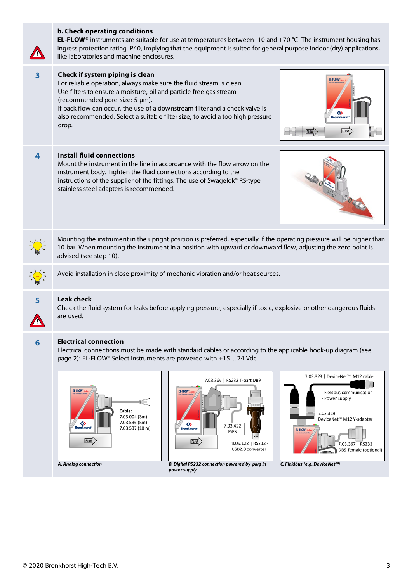|   | <b>EL-FLOW</b> <sup>®</sup> instruments are suitable for use at temperatures between -10 and +70 °C. The instrument housing has<br>ingress protection rating IP40, implying that the equipment is suited for general purpose indoor (dry) applications,<br>like laboratories and machine enclosures.                                                                                                                                                                                                                                                                                                                    |  |  |
|---|-------------------------------------------------------------------------------------------------------------------------------------------------------------------------------------------------------------------------------------------------------------------------------------------------------------------------------------------------------------------------------------------------------------------------------------------------------------------------------------------------------------------------------------------------------------------------------------------------------------------------|--|--|
| 3 | Check if system piping is clean<br>EL-FLOW",<br>For reliable operation, always make sure the fluid stream is clean.<br>Use filters to ensure a moisture, oil and particle free gas stream<br>(recommended pore-size: 5 µm).<br>If back flow can occur, the use of a downstream filter and a check valve is<br>also recommended. Select a suitable filter size, to avoid a too high pressure<br>drop.<br><b>FLOW</b><br><b>FLOW</b>                                                                                                                                                                                      |  |  |
| 4 | <b>Install fluid connections</b><br>Mount the instrument in the line in accordance with the flow arrow on the<br>instrument body. Tighten the fluid connections according to the<br>instructions of the supplier of the fittings. The use of Swagelok® RS-type<br>stainless steel adapters is recommended.<br>30460                                                                                                                                                                                                                                                                                                     |  |  |
|   | Mounting the instrument in the upright position is preferred, especially if the operating pressure will be higher than<br>10 bar. When mounting the instrument in a position with upward or downward flow, adjusting the zero point is<br>advised (see step 10).                                                                                                                                                                                                                                                                                                                                                        |  |  |
|   | Avoid installation in close proximity of mechanic vibration and/or heat sources.                                                                                                                                                                                                                                                                                                                                                                                                                                                                                                                                        |  |  |
| 5 | <b>Leak check</b><br>Check the fluid system for leaks before applying pressure, especially if toxic, explosive or other dangerous fluids<br>are used.                                                                                                                                                                                                                                                                                                                                                                                                                                                                   |  |  |
| 6 | <b>Electrical connection</b><br>Electrical connections must be made with standard cables or according to the applicable hook-up diagram (see<br>page 2): EL-FLOW® Select instruments are powered with +1524 Vdc.<br>7.03.323   DeviceNet™ M12 cable<br>7.03.366   RS232 T-part DB9<br>FL-FLOW<br>EL-FLOW<br>Fieldbus communication<br>- Power supply<br>Cable:<br>7.03.319<br>7.03.004 (3m)<br>DeviceNet™ M12 Y-adapter<br>7.03.536 (5m)<br>◇<br>◈<br>7.03.422<br>7.03.537 (10 m)<br>EL-FLOW<br>pips<br><b>FLOW</b><br><b>FLOW</b><br>9.09.122   RS232<br>7.03.367   RS232<br>USB2.0 converter<br>DB9-female (optional) |  |  |

**b. Check operating conditions**

"B. Digital RS232 connection powered by plug in C. Fieldbus (e.g. DeviceNet ) (Analog connection powersupply